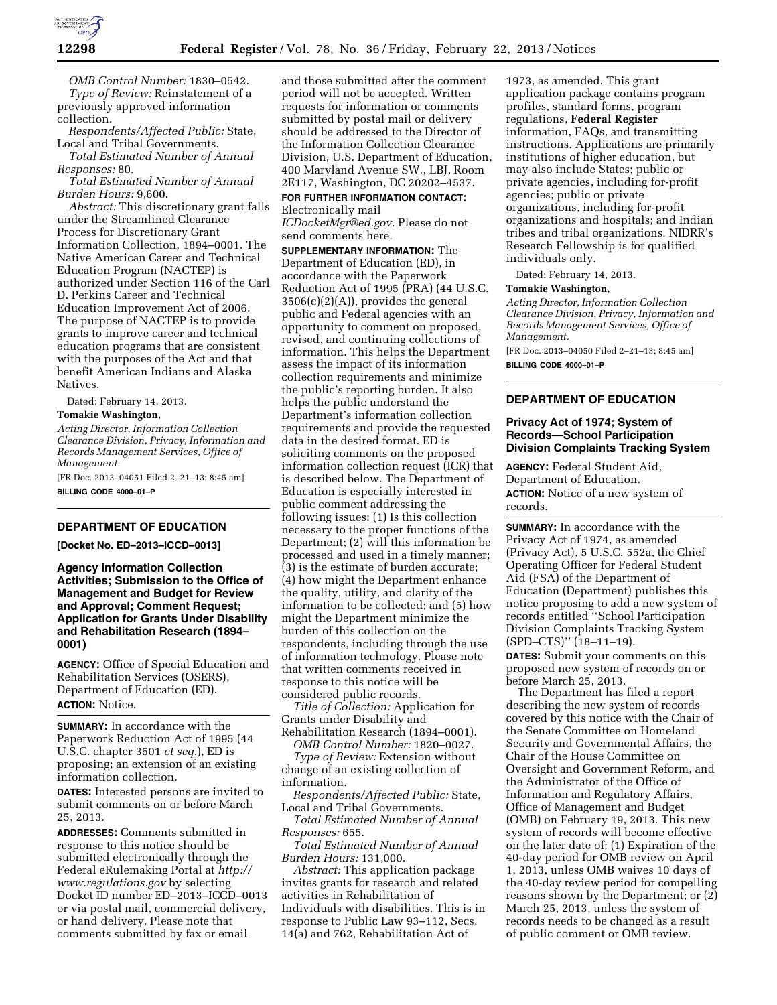

*OMB Control Number:* 1830–0542. *Type of Review:* Reinstatement of a previously approved information collection.

*Respondents/Affected Public:* State, Local and Tribal Governments.

*Total Estimated Number of Annual Responses:* 80.

*Total Estimated Number of Annual Burden Hours:* 9,600.

*Abstract:* This discretionary grant falls under the Streamlined Clearance Process for Discretionary Grant Information Collection, 1894–0001. The Native American Career and Technical Education Program (NACTEP) is authorized under Section 116 of the Carl D. Perkins Career and Technical Education Improvement Act of 2006. The purpose of NACTEP is to provide grants to improve career and technical education programs that are consistent with the purposes of the Act and that benefit American Indians and Alaska Natives.

Dated: February 14, 2013.

#### **Tomakie Washington,**

*Acting Director, Information Collection Clearance Division, Privacy, Information and Records Management Services, Office of Management.* 

[FR Doc. 2013–04051 Filed 2–21–13; 8:45 am]

**BILLING CODE 4000–01–P** 

# **DEPARTMENT OF EDUCATION**

**[Docket No. ED–2013–ICCD–0013]** 

**Agency Information Collection Activities; Submission to the Office of Management and Budget for Review and Approval; Comment Request; Application for Grants Under Disability and Rehabilitation Research (1894– 0001)** 

**AGENCY:** Office of Special Education and Rehabilitation Services (OSERS), Department of Education (ED). **ACTION:** Notice.

**SUMMARY:** In accordance with the Paperwork Reduction Act of 1995 (44 U.S.C. chapter 3501 *et seq.*), ED is proposing; an extension of an existing information collection.

**DATES:** Interested persons are invited to submit comments on or before March 25, 2013.

**ADDRESSES:** Comments submitted in response to this notice should be submitted electronically through the Federal eRulemaking Portal at *[http://](http://www.regulations.gov) [www.regulations.gov](http://www.regulations.gov)* by selecting Docket ID number ED–2013–ICCD–0013 or via postal mail, commercial delivery, or hand delivery. Please note that comments submitted by fax or email

and those submitted after the comment period will not be accepted. Written requests for information or comments submitted by postal mail or delivery should be addressed to the Director of the Information Collection Clearance Division, U.S. Department of Education, 400 Maryland Avenue SW., LBJ, Room 2E117, Washington, DC 20202–4537.

**FOR FURTHER INFORMATION CONTACT:**  Electronically mail

*[ICDocketMgr@ed.gov.](mailto:ICDocketMgr@ed.gov)* Please do not send comments here.

**SUPPLEMENTARY INFORMATION:** The Department of Education (ED), in accordance with the Paperwork Reduction Act of 1995 (PRA) (44 U.S.C. 3506(c)(2)(A)), provides the general public and Federal agencies with an opportunity to comment on proposed, revised, and continuing collections of information. This helps the Department assess the impact of its information collection requirements and minimize the public's reporting burden. It also helps the public understand the Department's information collection requirements and provide the requested data in the desired format. ED is soliciting comments on the proposed information collection request (ICR) that is described below. The Department of Education is especially interested in public comment addressing the following issues: (1) Is this collection necessary to the proper functions of the Department; (2) will this information be processed and used in a timely manner; (3) is the estimate of burden accurate; (4) how might the Department enhance the quality, utility, and clarity of the information to be collected; and (5) how might the Department minimize the burden of this collection on the respondents, including through the use of information technology. Please note that written comments received in response to this notice will be considered public records.

*Title of Collection:* Application for Grants under Disability and Rehabilitation Research (1894–0001).

*OMB Control Number:* 1820–0027.

*Type of Review:* Extension without change of an existing collection of information.

*Respondents/Affected Public:* State, Local and Tribal Governments.

*Total Estimated Number of Annual Responses:* 655.

*Total Estimated Number of Annual Burden Hours:* 131,000.

*Abstract:* This application package invites grants for research and related activities in Rehabilitation of Individuals with disabilities. This is in response to Public Law 93–112, Secs. 14(a) and 762, Rehabilitation Act of

1973, as amended. This grant application package contains program profiles, standard forms, program regulations, **Federal Register**  information, FAQs, and transmitting instructions. Applications are primarily institutions of higher education, but may also include States; public or private agencies, including for-profit agencies; public or private organizations, including for-profit organizations and hospitals; and Indian tribes and tribal organizations. NIDRR's Research Fellowship is for qualified individuals only.

Dated: February 14, 2013.

### **Tomakie Washington,**

*Acting Director, Information Collection Clearance Division, Privacy, Information and Records Management Services, Office of Management.* 

[FR Doc. 2013–04050 Filed 2–21–13; 8:45 am] **BILLING CODE 4000–01–P** 

## **DEPARTMENT OF EDUCATION**

## **Privacy Act of 1974; System of Records—School Participation Division Complaints Tracking System**

**AGENCY:** Federal Student Aid, Department of Education. **ACTION:** Notice of a new system of records.

**SUMMARY:** In accordance with the Privacy Act of 1974, as amended (Privacy Act), 5 U.S.C. 552a, the Chief Operating Officer for Federal Student Aid (FSA) of the Department of Education (Department) publishes this notice proposing to add a new system of records entitled ''School Participation Division Complaints Tracking System (SPD–CTS)'' (18–11–19).

**DATES:** Submit your comments on this proposed new system of records on or before March 25, 2013.

The Department has filed a report describing the new system of records covered by this notice with the Chair of the Senate Committee on Homeland Security and Governmental Affairs, the Chair of the House Committee on Oversight and Government Reform, and the Administrator of the Office of Information and Regulatory Affairs, Office of Management and Budget (OMB) on February 19, 2013. This new system of records will become effective on the later date of: (1) Expiration of the 40-day period for OMB review on April 1, 2013, unless OMB waives 10 days of the 40-day review period for compelling reasons shown by the Department; or (2) March 25, 2013, unless the system of records needs to be changed as a result of public comment or OMB review.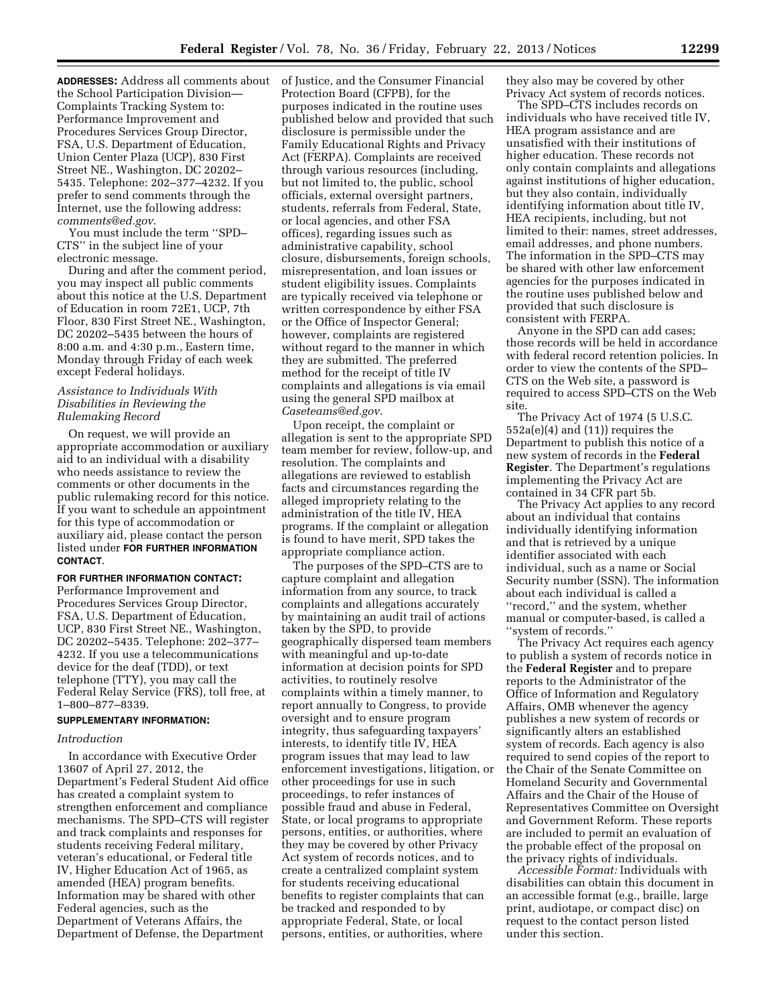**ADDRESSES:** Address all comments about the School Participation Division— Complaints Tracking System to: Performance Improvement and Procedures Services Group Director, FSA, U.S. Department of Education, Union Center Plaza (UCP), 830 First Street NE., Washington, DC 20202– 5435. Telephone: 202–377–4232. If you prefer to send comments through the Internet, use the following address: *[comments@ed.gov](mailto:comments@ed.gov)*.

You must include the term ''SPD– CTS'' in the subject line of your electronic message.

During and after the comment period, you may inspect all public comments about this notice at the U.S. Department of Education in room 72E1, UCP, 7th Floor, 830 First Street NE., Washington, DC 20202–5435 between the hours of 8:00 a.m. and 4:30 p.m., Eastern time, Monday through Friday of each week except Federal holidays.

## *Assistance to Individuals With Disabilities in Reviewing the Rulemaking Record*

On request, we will provide an appropriate accommodation or auxiliary aid to an individual with a disability who needs assistance to review the comments or other documents in the public rulemaking record for this notice. If you want to schedule an appointment for this type of accommodation or auxiliary aid, please contact the person listed under **FOR FURTHER INFORMATION CONTACT**.

## **FOR FURTHER INFORMATION CONTACT:**

Performance Improvement and Procedures Services Group Director, FSA, U.S. Department of Education, UCP, 830 First Street NE., Washington, DC 20202–5435. Telephone: 202–377– 4232. If you use a telecommunications device for the deaf (TDD), or text telephone (TTY), you may call the Federal Relay Service (FRS), toll free, at 1–800–877–8339.

## **SUPPLEMENTARY INFORMATION:**

#### *Introduction*

In accordance with Executive Order 13607 of April 27, 2012, the Department's Federal Student Aid office has created a complaint system to strengthen enforcement and compliance mechanisms. The SPD–CTS will register and track complaints and responses for students receiving Federal military, veteran's educational, or Federal title IV, Higher Education Act of 1965, as amended (HEA) program benefits. Information may be shared with other Federal agencies, such as the Department of Veterans Affairs, the Department of Defense, the Department

of Justice, and the Consumer Financial Protection Board (CFPB), for the purposes indicated in the routine uses published below and provided that such disclosure is permissible under the Family Educational Rights and Privacy Act (FERPA). Complaints are received through various resources (including, but not limited to, the public, school officials, external oversight partners, students, referrals from Federal, State, or local agencies, and other FSA offices), regarding issues such as administrative capability, school closure, disbursements, foreign schools, misrepresentation, and loan issues or student eligibility issues. Complaints are typically received via telephone or written correspondence by either FSA or the Office of Inspector General; however, complaints are registered without regard to the manner in which they are submitted. The preferred method for the receipt of title IV complaints and allegations is via email using the general SPD mailbox at *[Caseteams@ed.gov](mailto:Caseteams@ed.gov)*.

Upon receipt, the complaint or allegation is sent to the appropriate SPD team member for review, follow-up, and resolution. The complaints and allegations are reviewed to establish facts and circumstances regarding the alleged impropriety relating to the administration of the title IV, HEA programs. If the complaint or allegation is found to have merit, SPD takes the appropriate compliance action.

The purposes of the SPD–CTS are to capture complaint and allegation information from any source, to track complaints and allegations accurately by maintaining an audit trail of actions taken by the SPD, to provide geographically dispersed team members with meaningful and up-to-date information at decision points for SPD activities, to routinely resolve complaints within a timely manner, to report annually to Congress, to provide oversight and to ensure program integrity, thus safeguarding taxpayers' interests, to identify title IV, HEA program issues that may lead to law enforcement investigations, litigation, or other proceedings for use in such proceedings, to refer instances of possible fraud and abuse in Federal, State, or local programs to appropriate persons, entities, or authorities, where they may be covered by other Privacy Act system of records notices, and to create a centralized complaint system for students receiving educational benefits to register complaints that can be tracked and responded to by appropriate Federal, State, or local persons, entities, or authorities, where

they also may be covered by other Privacy Act system of records notices.

The SPD–CTS includes records on individuals who have received title IV, HEA program assistance and are unsatisfied with their institutions of higher education. These records not only contain complaints and allegations against institutions of higher education, but they also contain, individually identifying information about title IV, HEA recipients, including, but not limited to their: names, street addresses, email addresses, and phone numbers. The information in the SPD–CTS may be shared with other law enforcement agencies for the purposes indicated in the routine uses published below and provided that such disclosure is consistent with FERPA.

Anyone in the SPD can add cases; those records will be held in accordance with federal record retention policies. In order to view the contents of the SPD– CTS on the Web site, a password is required to access SPD–CTS on the Web site.

The Privacy Act of 1974 (5 U.S.C. 552a(e)(4) and (11)) requires the Department to publish this notice of a new system of records in the **Federal Register**. The Department's regulations implementing the Privacy Act are contained in 34 CFR part 5b.

The Privacy Act applies to any record about an individual that contains individually identifying information and that is retrieved by a unique identifier associated with each individual, such as a name or Social Security number (SSN). The information about each individual is called a ''record,'' and the system, whether manual or computer-based, is called a ''system of records.''

The Privacy Act requires each agency to publish a system of records notice in the **Federal Register** and to prepare reports to the Administrator of the Office of Information and Regulatory Affairs, OMB whenever the agency publishes a new system of records or significantly alters an established system of records. Each agency is also required to send copies of the report to the Chair of the Senate Committee on Homeland Security and Governmental Affairs and the Chair of the House of Representatives Committee on Oversight and Government Reform. These reports are included to permit an evaluation of the probable effect of the proposal on the privacy rights of individuals.

*Accessible Format:* Individuals with disabilities can obtain this document in an accessible format (e.g., braille, large print, audiotape, or compact disc) on request to the contact person listed under this section.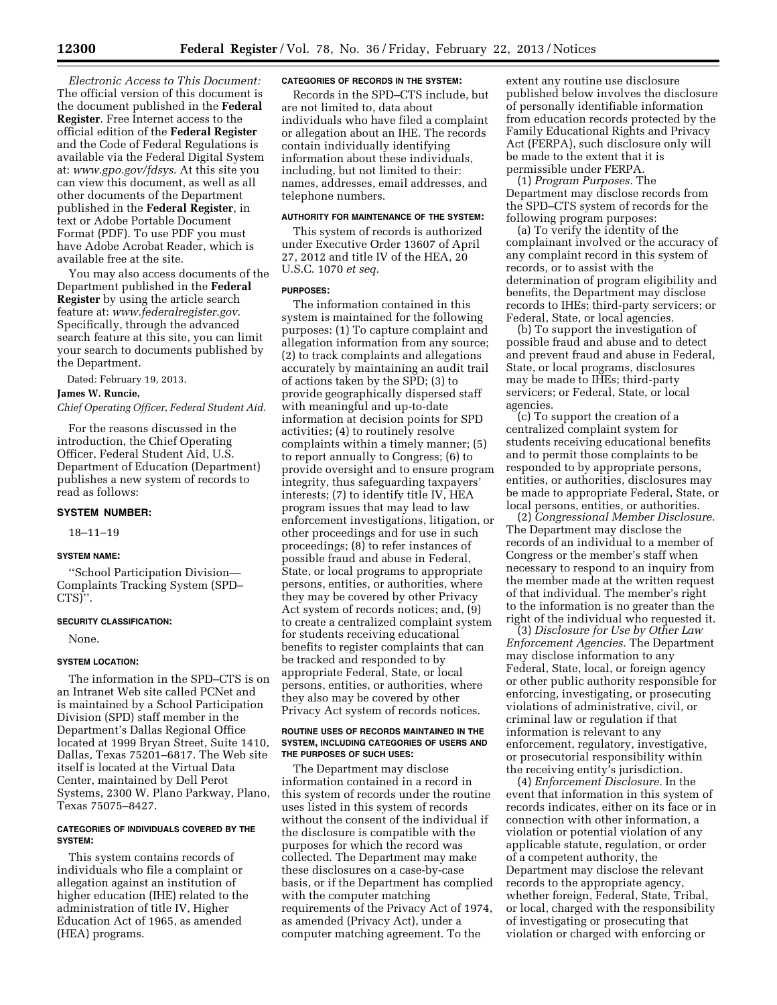*Electronic Access to This Document:*  The official version of this document is the document published in the **Federal Register**. Free Internet access to the official edition of the **Federal Register**  and the Code of Federal Regulations is available via the Federal Digital System at: *[www.gpo.gov/fdsys](http://www.gpo.gov/fdsys)*. At this site you can view this document, as well as all other documents of the Department published in the **Federal Register**, in text or Adobe Portable Document Format (PDF). To use PDF you must have Adobe Acrobat Reader, which is available free at the site.

You may also access documents of the Department published in the **Federal Register** by using the article search feature at: *[www.federalregister.gov](http://www.federalregister.gov)*. Specifically, through the advanced search feature at this site, you can limit your search to documents published by the Department.

Dated: February 19, 2013.

#### **James W. Runcie,**

*Chief Operating Officer, Federal Student Aid.* 

For the reasons discussed in the introduction, the Chief Operating Officer, Federal Student Aid, U.S. Department of Education (Department) publishes a new system of records to read as follows:

#### **SYSTEM NUMBER:**

18–11–19

### **SYSTEM NAME:**

''School Participation Division— Complaints Tracking System (SPD– CTS)''.

#### **SECURITY CLASSIFICATION:**

None.

## **SYSTEM LOCATION:**

The information in the SPD–CTS is on an Intranet Web site called PCNet and is maintained by a School Participation Division (SPD) staff member in the Department's Dallas Regional Office located at 1999 Bryan Street, Suite 1410, Dallas, Texas 75201–6817. The Web site itself is located at the Virtual Data Center, maintained by Dell Perot Systems, 2300 W. Plano Parkway, Plano, Texas 75075–8427.

## **CATEGORIES OF INDIVIDUALS COVERED BY THE SYSTEM:**

This system contains records of individuals who file a complaint or allegation against an institution of higher education (IHE) related to the administration of title IV, Higher Education Act of 1965, as amended (HEA) programs.

#### **CATEGORIES OF RECORDS IN THE SYSTEM:**

Records in the SPD–CTS include, but are not limited to, data about individuals who have filed a complaint or allegation about an IHE. The records contain individually identifying information about these individuals, including, but not limited to their: names, addresses, email addresses, and telephone numbers.

## **AUTHORITY FOR MAINTENANCE OF THE SYSTEM:**

This system of records is authorized under Executive Order 13607 of April 27, 2012 and title IV of the HEA, 20 U.S.C. 1070 *et seq.* 

#### **PURPOSES:**

The information contained in this system is maintained for the following purposes: (1) To capture complaint and allegation information from any source; (2) to track complaints and allegations accurately by maintaining an audit trail of actions taken by the SPD; (3) to provide geographically dispersed staff with meaningful and up-to-date information at decision points for SPD activities; (4) to routinely resolve complaints within a timely manner; (5) to report annually to Congress; (6) to provide oversight and to ensure program integrity, thus safeguarding taxpayers' interests; (7) to identify title IV, HEA program issues that may lead to law enforcement investigations, litigation, or other proceedings and for use in such proceedings; (8) to refer instances of possible fraud and abuse in Federal, State, or local programs to appropriate persons, entities, or authorities, where they may be covered by other Privacy Act system of records notices; and, (9) to create a centralized complaint system for students receiving educational benefits to register complaints that can be tracked and responded to by appropriate Federal, State, or local persons, entities, or authorities, where they also may be covered by other Privacy Act system of records notices.

#### **ROUTINE USES OF RECORDS MAINTAINED IN THE SYSTEM, INCLUDING CATEGORIES OF USERS AND THE PURPOSES OF SUCH USES:**

The Department may disclose information contained in a record in this system of records under the routine uses listed in this system of records without the consent of the individual if the disclosure is compatible with the purposes for which the record was collected. The Department may make these disclosures on a case-by-case basis, or if the Department has complied with the computer matching requirements of the Privacy Act of 1974, as amended (Privacy Act), under a computer matching agreement. To the

extent any routine use disclosure published below involves the disclosure of personally identifiable information from education records protected by the Family Educational Rights and Privacy Act (FERPA), such disclosure only will be made to the extent that it is permissible under FERPA.

(1) *Program Purposes.* The Department may disclose records from the SPD–CTS system of records for the following program purposes:

(a) To verify the identity of the complainant involved or the accuracy of any complaint record in this system of records, or to assist with the determination of program eligibility and benefits, the Department may disclose records to IHEs; third-party servicers; or Federal, State, or local agencies.

(b) To support the investigation of possible fraud and abuse and to detect and prevent fraud and abuse in Federal, State, or local programs, disclosures may be made to IHEs; third-party servicers; or Federal, State, or local agencies.

(c) To support the creation of a centralized complaint system for students receiving educational benefits and to permit those complaints to be responded to by appropriate persons, entities, or authorities, disclosures may be made to appropriate Federal, State, or local persons, entities, or authorities.

(2) *Congressional Member Disclosure.*  The Department may disclose the records of an individual to a member of Congress or the member's staff when necessary to respond to an inquiry from the member made at the written request of that individual. The member's right to the information is no greater than the right of the individual who requested it.

(3) *Disclosure for Use by Other Law Enforcement Agencies.* The Department may disclose information to any Federal, State, local, or foreign agency or other public authority responsible for enforcing, investigating, or prosecuting violations of administrative, civil, or criminal law or regulation if that information is relevant to any enforcement, regulatory, investigative, or prosecutorial responsibility within the receiving entity's jurisdiction.

(4) *Enforcement Disclosure.* In the event that information in this system of records indicates, either on its face or in connection with other information, a violation or potential violation of any applicable statute, regulation, or order of a competent authority, the Department may disclose the relevant records to the appropriate agency, whether foreign, Federal, State, Tribal, or local, charged with the responsibility of investigating or prosecuting that violation or charged with enforcing or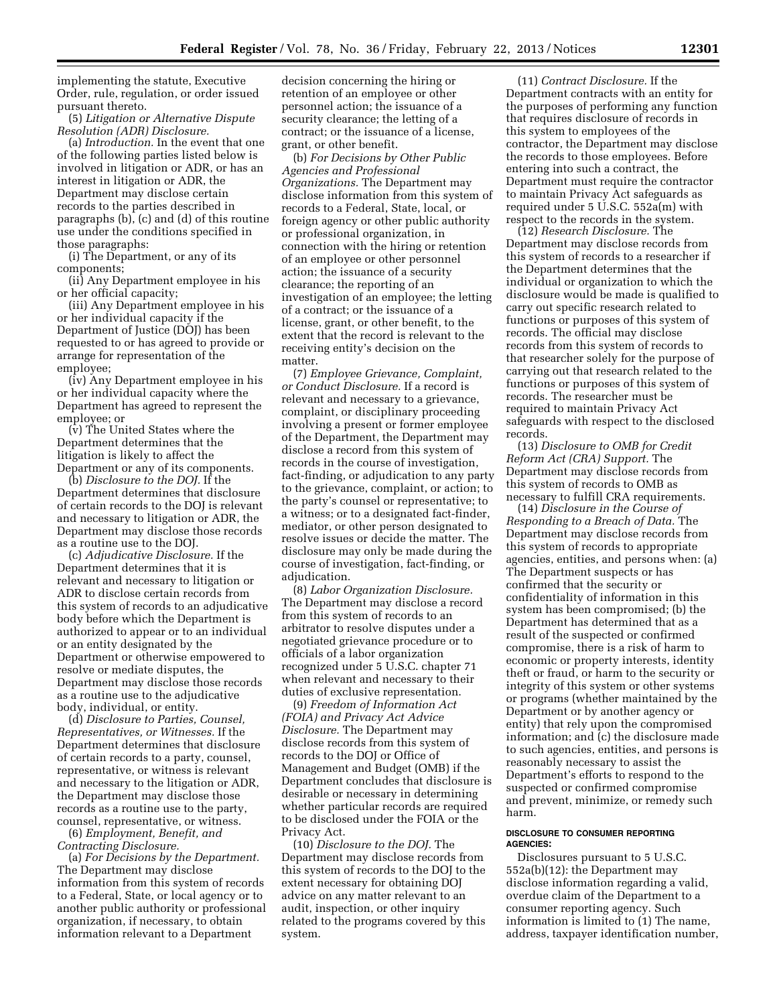implementing the statute, Executive Order, rule, regulation, or order issued pursuant thereto.

(5) *Litigation or Alternative Dispute Resolution (ADR) Disclosure.* 

(a) *Introduction.* In the event that one of the following parties listed below is involved in litigation or ADR, or has an interest in litigation or ADR, the Department may disclose certain records to the parties described in paragraphs (b), (c) and (d) of this routine use under the conditions specified in those paragraphs:

(i) The Department, or any of its components;

(ii) Any Department employee in his or her official capacity;

(iii) Any Department employee in his or her individual capacity if the Department of Justice (DOJ) has been requested to or has agreed to provide or arrange for representation of the employee;

(iv) Any Department employee in his or her individual capacity where the Department has agreed to represent the employee; or

(v) The United States where the Department determines that the litigation is likely to affect the Department or any of its components.

(b) *Disclosure to the DOJ.* If the Department determines that disclosure of certain records to the DOJ is relevant and necessary to litigation or ADR, the Department may disclose those records as a routine use to the DOJ.

(c) *Adjudicative Disclosure.* If the Department determines that it is relevant and necessary to litigation or ADR to disclose certain records from this system of records to an adjudicative body before which the Department is authorized to appear or to an individual or an entity designated by the Department or otherwise empowered to resolve or mediate disputes, the Department may disclose those records as a routine use to the adjudicative body, individual, or entity.

(d) *Disclosure to Parties, Counsel, Representatives, or Witnesses.* If the Department determines that disclosure of certain records to a party, counsel, representative, or witness is relevant and necessary to the litigation or ADR, the Department may disclose those records as a routine use to the party, counsel, representative, or witness.

(6) *Employment, Benefit, and Contracting Disclosure.* 

(a) *For Decisions by the Department.*  The Department may disclose information from this system of records to a Federal, State, or local agency or to another public authority or professional organization, if necessary, to obtain information relevant to a Department

decision concerning the hiring or retention of an employee or other personnel action; the issuance of a security clearance; the letting of a contract; or the issuance of a license, grant, or other benefit.

(b) *For Decisions by Other Public Agencies and Professional Organizations.* The Department may disclose information from this system of records to a Federal, State, local, or foreign agency or other public authority or professional organization, in connection with the hiring or retention of an employee or other personnel action; the issuance of a security clearance; the reporting of an investigation of an employee; the letting of a contract; or the issuance of a license, grant, or other benefit, to the extent that the record is relevant to the receiving entity's decision on the matter.

(7) *Employee Grievance, Complaint, or Conduct Disclosure.* If a record is relevant and necessary to a grievance, complaint, or disciplinary proceeding involving a present or former employee of the Department, the Department may disclose a record from this system of records in the course of investigation, fact-finding, or adjudication to any party to the grievance, complaint, or action; to the party's counsel or representative; to a witness; or to a designated fact-finder, mediator, or other person designated to resolve issues or decide the matter. The disclosure may only be made during the course of investigation, fact-finding, or adjudication.

(8) *Labor Organization Disclosure.*  The Department may disclose a record from this system of records to an arbitrator to resolve disputes under a negotiated grievance procedure or to officials of a labor organization recognized under 5 U.S.C. chapter 71 when relevant and necessary to their duties of exclusive representation.

(9) *Freedom of Information Act (FOIA) and Privacy Act Advice Disclosure.* The Department may disclose records from this system of records to the DOJ or Office of Management and Budget (OMB) if the Department concludes that disclosure is desirable or necessary in determining whether particular records are required to be disclosed under the FOIA or the Privacy Act.

(10) *Disclosure to the DOJ.* The Department may disclose records from this system of records to the DOJ to the extent necessary for obtaining DOJ advice on any matter relevant to an audit, inspection, or other inquiry related to the programs covered by this system.

(11) *Contract Disclosure.* If the Department contracts with an entity for the purposes of performing any function that requires disclosure of records in this system to employees of the contractor, the Department may disclose the records to those employees. Before entering into such a contract, the Department must require the contractor to maintain Privacy Act safeguards as required under 5 U.S.C. 552a(m) with respect to the records in the system.

(12) *Research Disclosure.* The Department may disclose records from this system of records to a researcher if the Department determines that the individual or organization to which the disclosure would be made is qualified to carry out specific research related to functions or purposes of this system of records. The official may disclose records from this system of records to that researcher solely for the purpose of carrying out that research related to the functions or purposes of this system of records. The researcher must be required to maintain Privacy Act safeguards with respect to the disclosed records.

(13) *Disclosure to OMB for Credit Reform Act (CRA) Support.* The Department may disclose records from this system of records to OMB as necessary to fulfill CRA requirements.

(14) *Disclosure in the Course of Responding to a Breach of Data.* The Department may disclose records from this system of records to appropriate agencies, entities, and persons when: (a) The Department suspects or has confirmed that the security or confidentiality of information in this system has been compromised; (b) the Department has determined that as a result of the suspected or confirmed compromise, there is a risk of harm to economic or property interests, identity theft or fraud, or harm to the security or integrity of this system or other systems or programs (whether maintained by the Department or by another agency or entity) that rely upon the compromised information; and (c) the disclosure made to such agencies, entities, and persons is reasonably necessary to assist the Department's efforts to respond to the suspected or confirmed compromise and prevent, minimize, or remedy such harm.

#### **DISCLOSURE TO CONSUMER REPORTING AGENCIES:**

Disclosures pursuant to 5 U.S.C. 552a(b)(12): the Department may disclose information regarding a valid, overdue claim of the Department to a consumer reporting agency. Such information is limited to (1) The name, address, taxpayer identification number,